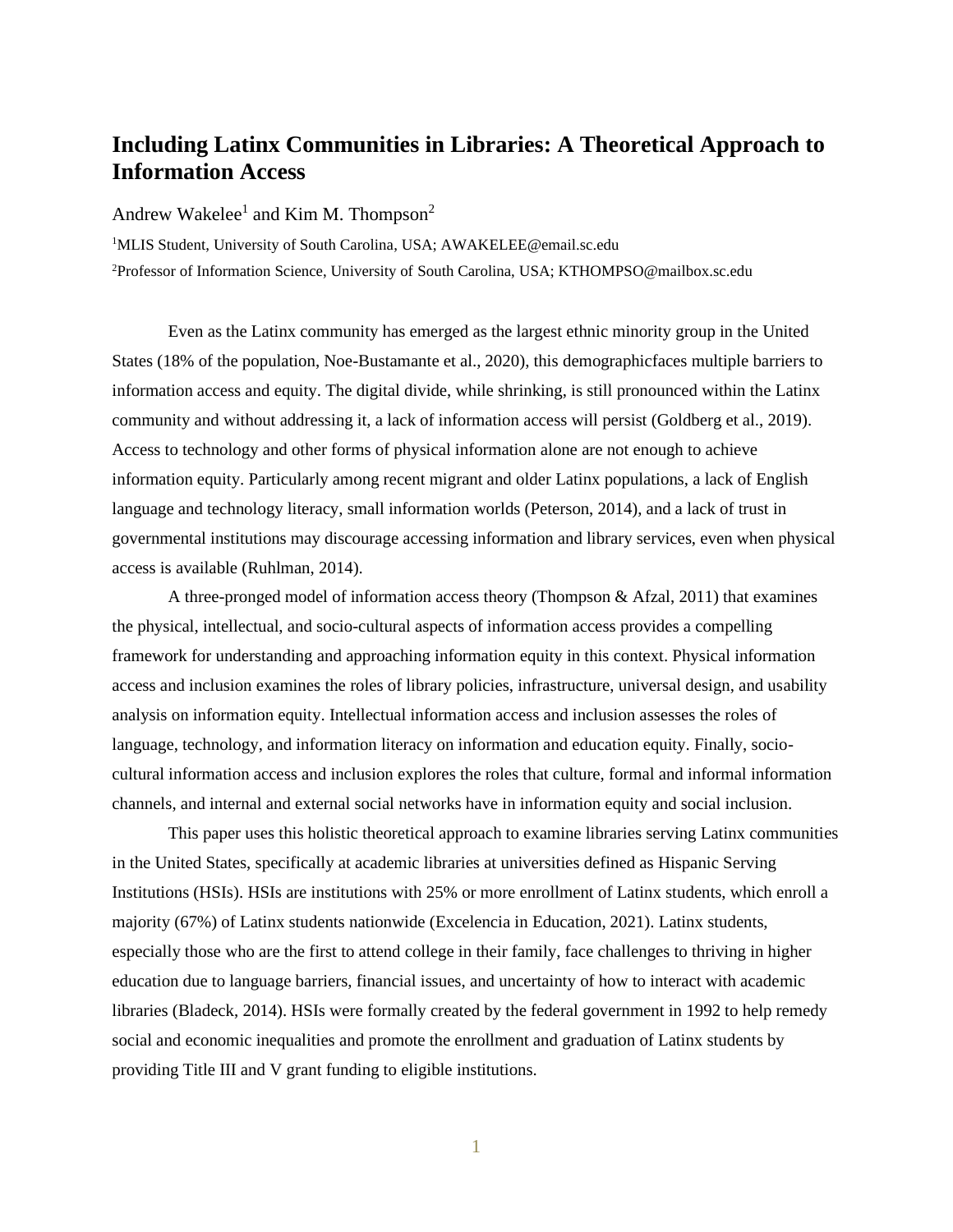## **Including Latinx Communities in Libraries: A Theoretical Approach to Information Access**

Andrew Wakelee<sup>1</sup> and Kim M. Thompson<sup>2</sup>

<sup>1</sup>MLIS Student, University of South Carolina, USA; AWAKELEE@email.sc.edu <sup>2</sup>Professor of Information Science, University of South Carolina, USA; KTHOMPSO@mailbox.sc.edu

Even as the Latinx community has emerged as the largest ethnic minority group in the United States (18% of the population, Noe-Bustamante et al., 2020), this demographicfaces multiple barriers to information access and equity. The digital divide, while shrinking, is still pronounced within the Latinx community and without addressing it, a lack of information access will persist (Goldberg et al., 2019). Access to technology and other forms of physical information alone are not enough to achieve information equity. Particularly among recent migrant and older Latinx populations, a lack of English language and technology literacy, small information worlds (Peterson, 2014), and a lack of trust in governmental institutions may discourage accessing information and library services, even when physical access is available (Ruhlman, 2014).

A three-pronged model of information access theory (Thompson & Afzal, 2011) that examines the physical, intellectual, and socio-cultural aspects of information access provides a compelling framework for understanding and approaching information equity in this context. Physical information access and inclusion examines the roles of library policies, infrastructure, universal design, and usability analysis on information equity. Intellectual information access and inclusion assesses the roles of language, technology, and information literacy on information and education equity. Finally, sociocultural information access and inclusion explores the roles that culture, formal and informal information channels, and internal and external social networks have in information equity and social inclusion.

This paper uses this holistic theoretical approach to examine libraries serving Latinx communities in the United States, specifically at academic libraries at universities defined as Hispanic Serving Institutions (HSIs). HSIs are institutions with 25% or more enrollment of Latinx students, which enroll a majority (67%) of Latinx students nationwide (Excelencia in Education, 2021). Latinx students, especially those who are the first to attend college in their family, face challenges to thriving in higher education due to language barriers, financial issues, and uncertainty of how to interact with academic libraries (Bladeck, 2014). HSIs were formally created by the federal government in 1992 to help remedy social and economic inequalities and promote the enrollment and graduation of Latinx students by providing Title III and V grant funding to eligible institutions.

1